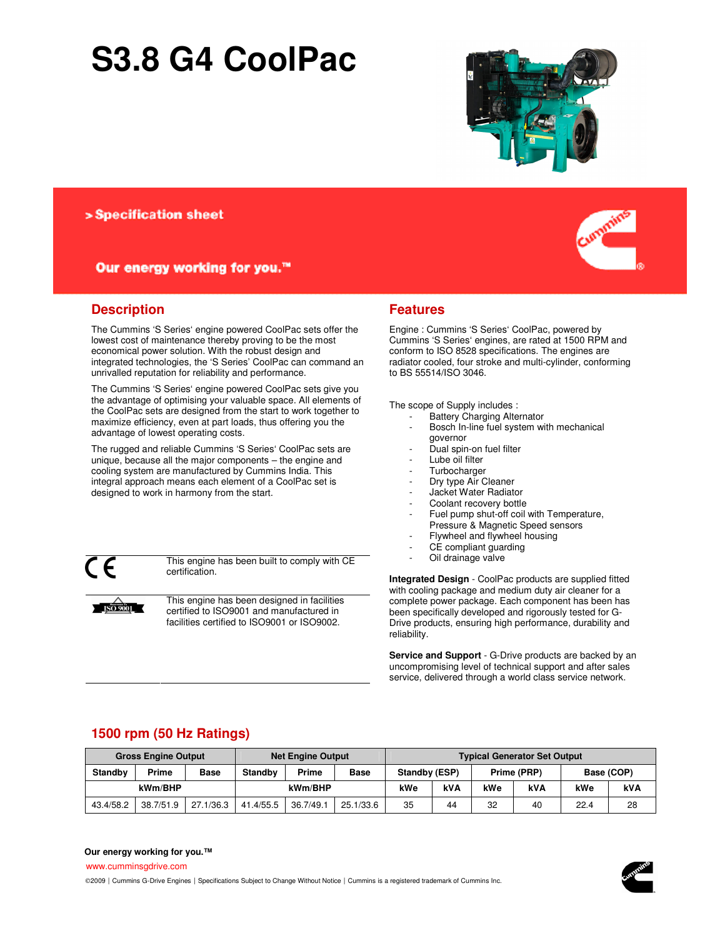# **S3.8 G4 CoolPac**



> Specification sheet

# Our energy working for you.™

#### **Description**

The Cummins 'S Series' engine powered CoolPac sets offer the lowest cost of maintenance thereby proving to be the most economical power solution. With the robust design and integrated technologies, the 'S Series' CoolPac can command an unrivalled reputation for reliability and performance.

The Cummins 'S Series' engine powered CoolPac sets give you the advantage of optimising your valuable space. All elements of the CoolPac sets are designed from the start to work together to maximize efficiency, even at part loads, thus offering you the advantage of lowest operating costs.

The rugged and reliable Cummins 'S Series' CoolPac sets are unique, because all the major components – the engine and cooling system are manufactured by Cummins India. This integral approach means each element of a CoolPac set is designed to work in harmony from the start.

**ISO 9001** 

This engine has been built to comply with CE certification.

This engine has been designed in facilities certified to ISO9001 and manufactured in facilities certified to ISO9001 or ISO9002.

### **Features**

Engine : Cummins 'S Series' CoolPac, powered by Cummins 'S Series' engines, are rated at 1500 RPM and conform to ISO 8528 specifications. The engines are radiator cooled, four stroke and multi-cylinder, conforming to BS 55514/ISO 3046.

The scope of Supply includes :

- Battery Charging Alternator
- Bosch In-line fuel system with mechanical governor
- Dual spin-on fuel filter
- Lube oil filter
- **Turbocharger**
- Dry type Air Cleaner
- Jacket Water Radiator
- Coolant recovery bottle
- Fuel pump shut-off coil with Temperature,
- Pressure & Magnetic Speed sensors
- Flywheel and flywheel housing
- CE compliant guarding
- Oil drainage valve

**Integrated Design** - CoolPac products are supplied fitted with cooling package and medium duty air cleaner for a complete power package. Each component has been has been specifically developed and rigorously tested for G-Drive products, ensuring high performance, durability and reliability.

**Service and Support** - G-Drive products are backed by an uncompromising level of technical support and after sales service, delivered through a world class service network.

# **1500 rpm (50 Hz Ratings)**

| <b>Gross Engine Output</b> |              |             | <b>Net Engine Output</b> |           |             | <b>Typical Generator Set Output</b> |     |             |     |            |    |
|----------------------------|--------------|-------------|--------------------------|-----------|-------------|-------------------------------------|-----|-------------|-----|------------|----|
| <b>Standby</b>             | <b>Prime</b> | <b>Base</b> | <b>Standby</b>           | Prime     | <b>Base</b> | Standby (ESP)                       |     | Prime (PRP) |     | Base (COP) |    |
| kWm/BHP                    |              |             | kWm/BHP                  |           | kWe         | <b>kVA</b>                          | kWe | <b>kVA</b>  | kWe | <b>kVA</b> |    |
| 43.4/58.2                  | 38.7/51.9    | 27.1/36.3   | 41.4/55.5                | 36.7/49.1 | 25.1/33.6   | 35                                  | 44  | 32          | 40  | 22.4       | 28 |

#### **Our energy working for you.™**

www.cumminsgdrive.com

©2009 | Cummins G-Drive Engines | Specifications Subject to Change Without Notice | Cummins is a registered trademark of Cummins Inc.